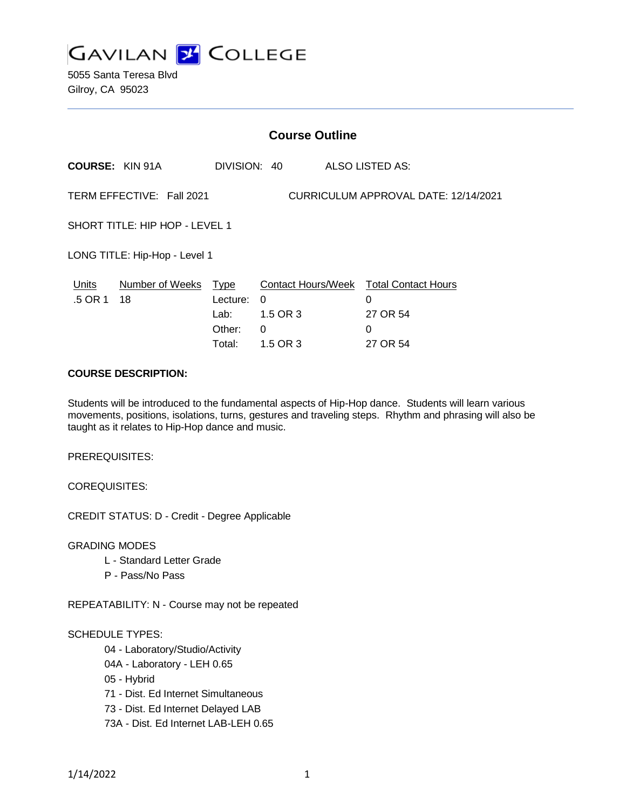

5055 Santa Teresa Blvd Gilroy, CA 95023

| <b>Course Outline</b>                                             |                              |                                |                                                  |                                               |
|-------------------------------------------------------------------|------------------------------|--------------------------------|--------------------------------------------------|-----------------------------------------------|
|                                                                   |                              |                                |                                                  | <b>ALSO LISTED AS:</b>                        |
| TERM EFFECTIVE: Fall 2021<br>CURRICULUM APPROVAL DATE: 12/14/2021 |                              |                                |                                                  |                                               |
| SHORT TITLE: HIP HOP - LEVEL 1                                    |                              |                                |                                                  |                                               |
| LONG TITLE: Hip-Hop - Level 1                                     |                              |                                |                                                  |                                               |
|                                                                   | Lecture:<br>Lab: L<br>Other: | 0                              |                                                  | 0<br>27 OR 54<br>0<br>27 OR 54                |
|                                                                   | <b>COURSE: KIN 91A</b>       | Number of Weeks Type<br>Total: | DIVISION: 40<br>$\Omega$<br>1.5 OR 3<br>1.5 OR 3 | <b>Contact Hours/Week Total Contact Hours</b> |

#### **COURSE DESCRIPTION:**

Students will be introduced to the fundamental aspects of Hip-Hop dance. Students will learn various movements, positions, isolations, turns, gestures and traveling steps. Rhythm and phrasing will also be taught as it relates to Hip-Hop dance and music.

PREREQUISITES:

COREQUISITES:

CREDIT STATUS: D - Credit - Degree Applicable

GRADING MODES

- L Standard Letter Grade
- P Pass/No Pass

REPEATABILITY: N - Course may not be repeated

### SCHEDULE TYPES:

04 - Laboratory/Studio/Activity

- 04A Laboratory LEH 0.65
- 05 Hybrid
- 71 Dist. Ed Internet Simultaneous
- 73 Dist. Ed Internet Delayed LAB
- 73A Dist. Ed Internet LAB-LEH 0.65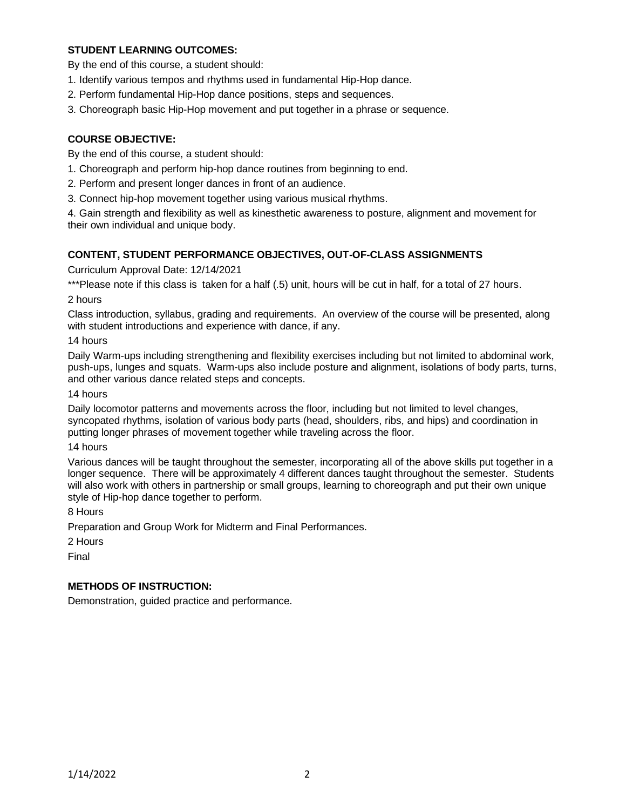## **STUDENT LEARNING OUTCOMES:**

By the end of this course, a student should:

- 1. Identify various tempos and rhythms used in fundamental Hip-Hop dance.
- 2. Perform fundamental Hip-Hop dance positions, steps and sequences.
- 3. Choreograph basic Hip-Hop movement and put together in a phrase or sequence.

# **COURSE OBJECTIVE:**

By the end of this course, a student should:

- 1. Choreograph and perform hip-hop dance routines from beginning to end.
- 2. Perform and present longer dances in front of an audience.
- 3. Connect hip-hop movement together using various musical rhythms.

4. Gain strength and flexibility as well as kinesthetic awareness to posture, alignment and movement for their own individual and unique body.

## **CONTENT, STUDENT PERFORMANCE OBJECTIVES, OUT-OF-CLASS ASSIGNMENTS**

Curriculum Approval Date: 12/14/2021

\*\*\*Please note if this class is taken for a half (.5) unit, hours will be cut in half, for a total of 27 hours.

2 hours

Class introduction, syllabus, grading and requirements. An overview of the course will be presented, along with student introductions and experience with dance, if any.

14 hours

Daily Warm-ups including strengthening and flexibility exercises including but not limited to abdominal work, push-ups, lunges and squats. Warm-ups also include posture and alignment, isolations of body parts, turns, and other various dance related steps and concepts.

14 hours

Daily locomotor patterns and movements across the floor, including but not limited to level changes, syncopated rhythms, isolation of various body parts (head, shoulders, ribs, and hips) and coordination in putting longer phrases of movement together while traveling across the floor.

14 hours

Various dances will be taught throughout the semester, incorporating all of the above skills put together in a longer sequence. There will be approximately 4 different dances taught throughout the semester. Students will also work with others in partnership or small groups, learning to choreograph and put their own unique style of Hip-hop dance together to perform.

8 Hours

Preparation and Group Work for Midterm and Final Performances.

2 Hours

Final

### **METHODS OF INSTRUCTION:**

Demonstration, guided practice and performance.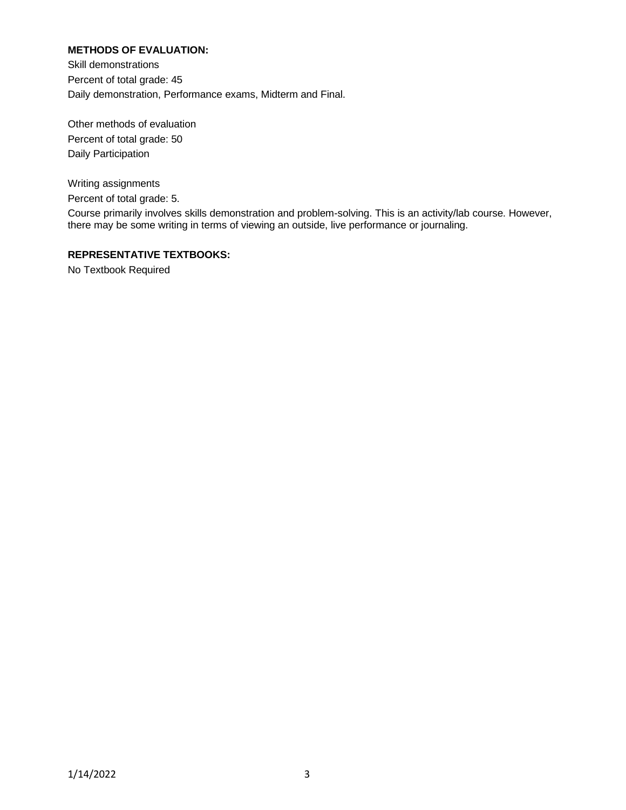## **METHODS OF EVALUATION:**

Skill demonstrations Percent of total grade: 45 Daily demonstration, Performance exams, Midterm and Final.

Other methods of evaluation Percent of total grade: 50 Daily Participation

Writing assignments Percent of total grade: 5.

Course primarily involves skills demonstration and problem-solving. This is an activity/lab course. However, there may be some writing in terms of viewing an outside, live performance or journaling.

#### **REPRESENTATIVE TEXTBOOKS:**

No Textbook Required